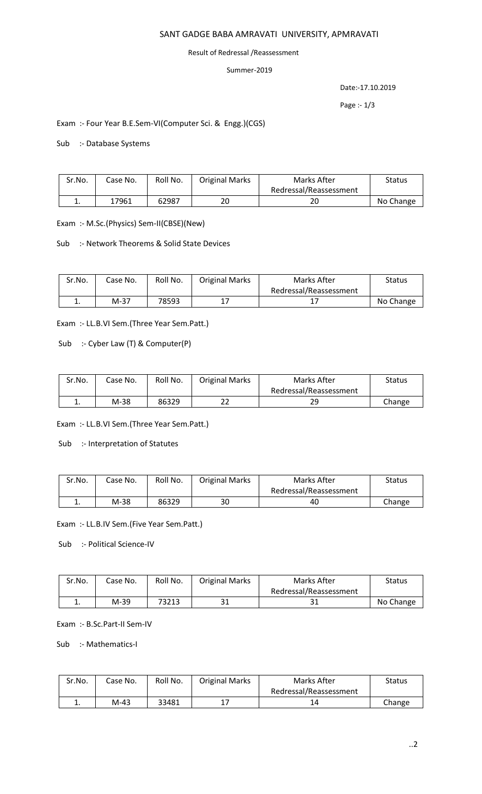#### SANT GADGE BABA AMRAVATI UNIVERSITY, APMRAVATI

#### Result of Redressal /Reassessment

#### Summer-2019

Date:-17.10.2019

Page :- 1/3

## Exam :- Four Year B.E.Sem-VI(Computer Sci. & Engg.)(CGS)

#### Sub :- Database Systems

| Sr.No. | Case No. | Roll No. | <b>Original Marks</b> | Marks After            | Status    |
|--------|----------|----------|-----------------------|------------------------|-----------|
|        |          |          |                       | Redressal/Reassessment |           |
| ᆠ.     | 17961    | 62987    | 20                    | 20                     | No Change |

Exam :- M.Sc.(Physics) Sem-II(CBSE)(New)

Sub :- Network Theorems & Solid State Devices

| Sr.No. | Case No. | Roll No. | <b>Original Marks</b> | Marks After            | Status    |
|--------|----------|----------|-----------------------|------------------------|-----------|
|        |          |          |                       | Redressal/Reassessment |           |
| ᆠ.     | $M-37$   | 78593    |                       |                        | No Change |

Exam :- LL.B.VI Sem.(Three Year Sem.Patt.)

Sub :- Cyber Law (T) & Computer(P)

| Sr.No. | Case No. | Roll No. | <b>Original Marks</b> | Marks After            | <b>Status</b> |
|--------|----------|----------|-----------------------|------------------------|---------------|
|        |          |          |                       | Redressal/Reassessment |               |
|        | M-38     | 86329    | າາ                    | 29                     | Change        |

Exam :- LL.B.VI Sem.(Three Year Sem.Patt.)

Sub :- Interpretation of Statutes

| Sr.No. | Case No. | Roll No. | <b>Original Marks</b> | Marks After            | <b>Status</b> |
|--------|----------|----------|-----------------------|------------------------|---------------|
|        |          |          |                       | Redressal/Reassessment |               |
| ∸.     | M-38     | 86329    | 30                    | 40                     | Change        |

Exam :- LL.B.IV Sem.(Five Year Sem.Patt.)

Sub :- Political Science-IV

| Sr.No. | Case No. | Roll No. | <b>Original Marks</b> | Marks After            | <b>Status</b> |
|--------|----------|----------|-----------------------|------------------------|---------------|
|        |          |          |                       | Redressal/Reassessment |               |
| . .    | M-39     | 73213    | ⊥ ر                   | JI                     | No Change     |

Exam :- B.Sc.Part-II Sem-IV

Sub :- Mathematics-I

| Sr.No. | Case No. | Roll No. | <b>Original Marks</b> | Marks After            | <b>Status</b> |
|--------|----------|----------|-----------------------|------------------------|---------------|
|        |          |          |                       | Redressal/Reassessment |               |
| ٠.     | M-43     | 33481    |                       | 14                     | Change        |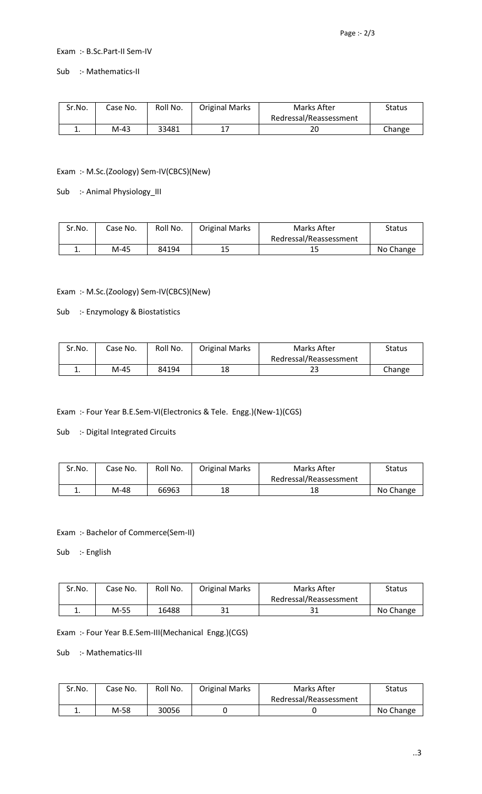## Exam :- B.Sc.Part-II Sem-IV

Sub :- Mathematics-II

| Sr.No. | Case No. | Roll No. | <b>Original Marks</b> | Marks After            | Status |
|--------|----------|----------|-----------------------|------------------------|--------|
|        |          |          |                       | Redressal/Reassessment |        |
| . .    | M-43     | 33481    |                       | 20                     | Change |

## Exam :- M.Sc.(Zoology) Sem-IV(CBCS)(New)

Sub :- Animal Physiology\_III

| Sr.No. | Case No. | Roll No. | <b>Original Marks</b> | Marks After            | Status    |
|--------|----------|----------|-----------------------|------------------------|-----------|
|        |          |          |                       | Redressal/Reassessment |           |
| ٠.     | M-45     | 84194    | 15                    | ن به                   | No Change |

# Exam :- M.Sc.(Zoology) Sem-IV(CBCS)(New)

Sub :- Enzymology & Biostatistics

| Sr.No. | Case No. | Roll No. | <b>Original Marks</b> | Marks After            | Status |
|--------|----------|----------|-----------------------|------------------------|--------|
|        |          |          |                       | Redressal/Reassessment |        |
| ٠.     | M-45     | 84194    | 18                    | دے                     | Change |

Exam :- Four Year B.E.Sem-VI(Electronics & Tele. Engg.)(New-1)(CGS)

Sub :- Digital Integrated Circuits

| Sr.No. | Case No. | Roll No. | <b>Original Marks</b> | Marks After            | Status    |
|--------|----------|----------|-----------------------|------------------------|-----------|
|        |          |          |                       | Redressal/Reassessment |           |
| ᆠ.     | M-48     | 66963    | 18                    | 18                     | No Change |

## Exam :- Bachelor of Commerce(Sem-II)

Sub :- English

| Sr.No. | Case No. | Roll No. | <b>Original Marks</b> | Marks After            | Status    |
|--------|----------|----------|-----------------------|------------------------|-----------|
|        |          |          |                       | Redressal/Reassessment |           |
| ∸.     | M-55     | 16488    | ີ 1                   | ⊥ ر                    | No Change |

Exam :- Four Year B.E.Sem-III(Mechanical Engg.)(CGS)

Sub :- Mathematics-III

| Sr.No. | Case No. | Roll No. | <b>Original Marks</b> | Marks After            | <b>Status</b> |
|--------|----------|----------|-----------------------|------------------------|---------------|
|        |          |          |                       | Redressal/Reassessment |               |
| . .    | M-58     | 30056    |                       |                        | No Change     |